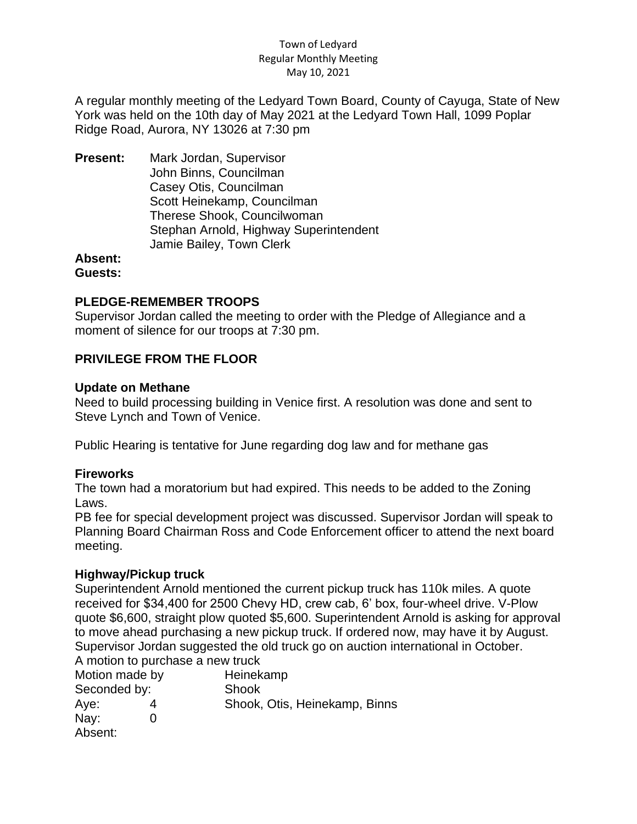#### Town of Ledyard Regular Monthly Meeting May 10, 2021

A regular monthly meeting of the Ledyard Town Board, County of Cayuga, State of New York was held on the 10th day of May 2021 at the Ledyard Town Hall, 1099 Poplar Ridge Road, Aurora, NY 13026 at 7:30 pm

**Present:** Mark Jordan, Supervisor John Binns, Councilman Casey Otis, Councilman Scott Heinekamp, Councilman Therese Shook, Councilwoman Stephan Arnold, Highway Superintendent Jamie Bailey, Town Clerk

# **Absent:**

**Guests:**

## **PLEDGE-REMEMBER TROOPS**

Supervisor Jordan called the meeting to order with the Pledge of Allegiance and a moment of silence for our troops at 7:30 pm.

# **PRIVILEGE FROM THE FLOOR**

#### **Update on Methane**

Need to build processing building in Venice first. A resolution was done and sent to Steve Lynch and Town of Venice.

Public Hearing is tentative for June regarding dog law and for methane gas

## **Fireworks**

The town had a moratorium but had expired. This needs to be added to the Zoning Laws.

PB fee for special development project was discussed. Supervisor Jordan will speak to Planning Board Chairman Ross and Code Enforcement officer to attend the next board meeting.

## **Highway/Pickup truck**

Superintendent Arnold mentioned the current pickup truck has 110k miles. A quote received for \$34,400 for 2500 Chevy HD, crew cab, 6' box, four-wheel drive. V-Plow quote \$6,600, straight plow quoted \$5,600. Superintendent Arnold is asking for approval to move ahead purchasing a new pickup truck. If ordered now, may have it by August. Supervisor Jordan suggested the old truck go on auction international in October. A motion to purchase a new truck

| Motion made by |  | Heinekamp                     |
|----------------|--|-------------------------------|
| Seconded by:   |  | Shook                         |
| Aye:           |  | Shook, Otis, Heinekamp, Binns |
| Nay:           |  |                               |
| Absent:        |  |                               |
|                |  |                               |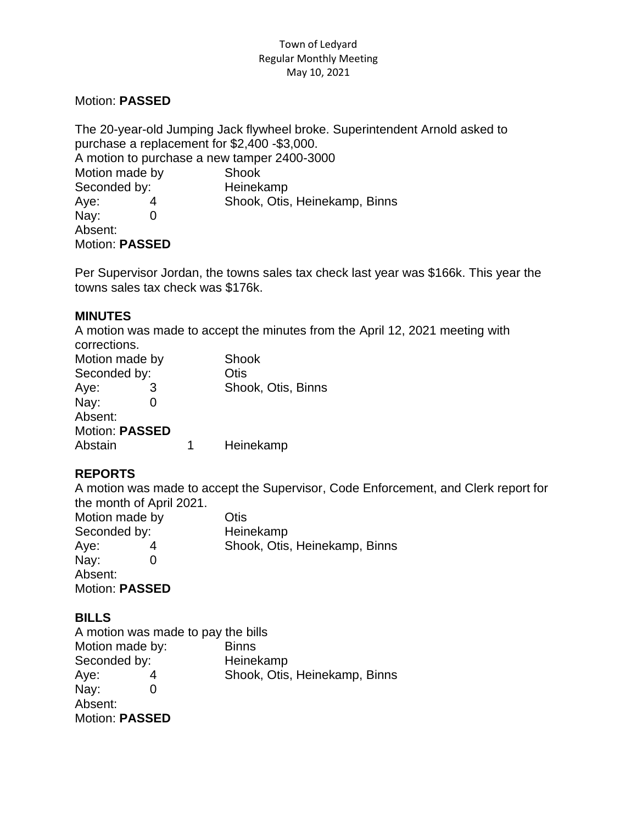#### Town of Ledyard Regular Monthly Meeting May 10, 2021

### Motion: **PASSED**

The 20-year-old Jumping Jack flywheel broke. Superintendent Arnold asked to purchase a replacement for \$2,400 -\$3,000. A motion to purchase a new tamper 2400-3000 Motion made by Shook Seconded by: Heinekamp Aye: 4 Shook, Otis, Heinekamp, Binns Nay: 0 Absent: Motion: **PASSED**

Per Supervisor Jordan, the towns sales tax check last year was \$166k. This year the towns sales tax check was \$176k.

#### **MINUTES**

A motion was made to accept the minutes from the April 12, 2021 meeting with corrections.

| Motion made by        |  |   | Shook              |
|-----------------------|--|---|--------------------|
| Seconded by:          |  |   | Otis               |
| Aye:                  |  |   | Shook, Otis, Binns |
| Nay:                  |  |   |                    |
| Absent:               |  |   |                    |
| <b>Motion: PASSED</b> |  |   |                    |
| Abstain               |  | 1 | Heinekamp          |

# **REPORTS**

A motion was made to accept the Supervisor, Code Enforcement, and Clerk report for the month of April 2021.

| Motion made by        |  | Otis                          |
|-----------------------|--|-------------------------------|
| Seconded by:          |  | Heinekamp                     |
| Aye:                  |  | Shook, Otis, Heinekamp, Binns |
| $\text{Nay:}$         |  |                               |
| Absent:               |  |                               |
| <b>Motion: PASSED</b> |  |                               |

## **BILLS**

A motion was made to pay the bills Motion made by: Binns Seconded by: Heinekamp Aye: 4 Shook, Otis, Heinekamp, Binns Nay: 0 Absent: Motion: **PASSED**